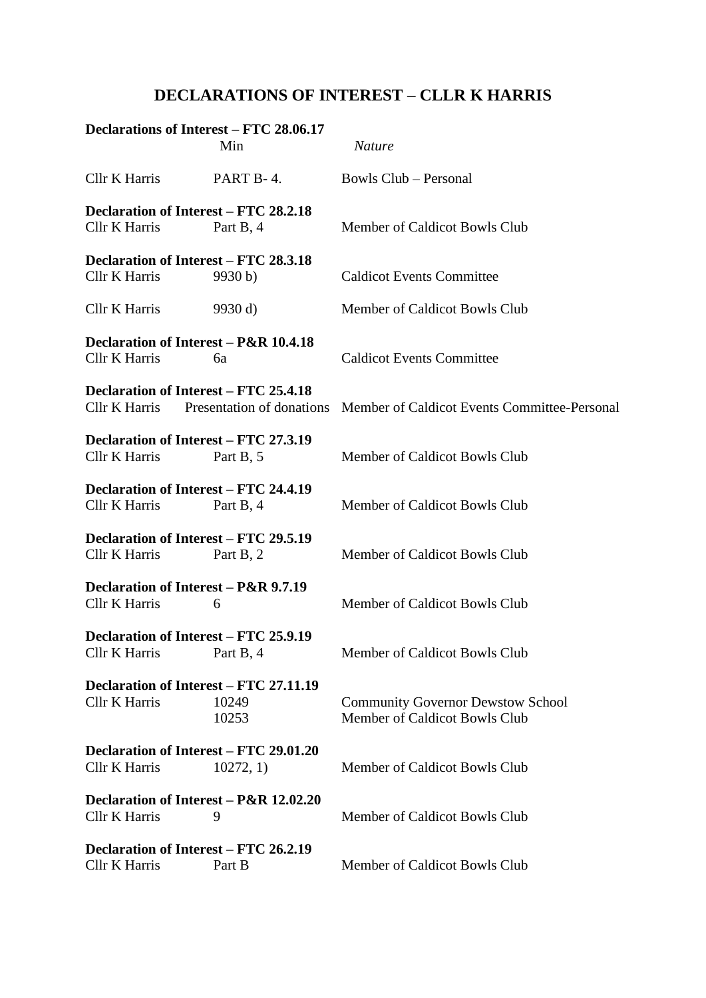## **DECLARATIONS OF INTEREST – CLLR K HARRIS**

|                      | Declarations of Interest – FTC 28.06.17<br>Min                   | <b>Nature</b>                                                             |
|----------------------|------------------------------------------------------------------|---------------------------------------------------------------------------|
| <b>Cllr K Harris</b> | PART B-4.                                                        | <b>Bowls Club – Personal</b>                                              |
| Cllr K Harris        | Declaration of Interest – FTC 28.2.18<br>Part B, 4               | Member of Caldicot Bowls Club                                             |
| <b>Cllr K Harris</b> | <b>Declaration of Interest - FTC 28.3.18</b><br>9930 b)          | <b>Caldicot Events Committee</b>                                          |
| Cllr K Harris        | 9930 d                                                           | Member of Caldicot Bowls Club                                             |
| Cllr K Harris        | Declaration of Interest – P&R 10.4.18<br>6a                      | <b>Caldicot Events Committee</b>                                          |
| <b>Cllr K Harris</b> | <b>Declaration of Interest - FTC 25.4.18</b>                     | Presentation of donations Member of Caldicot Events Committee-Personal    |
| Cllr K Harris        | Declaration of Interest – FTC 27.3.19<br>Part B, 5               | Member of Caldicot Bowls Club                                             |
| Cllr K Harris        | Declaration of Interest – FTC 24.4.19<br>Part B, 4               | Member of Caldicot Bowls Club                                             |
| Cllr K Harris        | Declaration of Interest – FTC 29.5.19<br>Part B, 2               | Member of Caldicot Bowls Club                                             |
| Cllr K Harris        | Declaration of Interest – P&R 9.7.19<br>6                        | Member of Caldicot Bowls Club                                             |
|                      | Declaration of Interest – FTC 25.9.19<br>Cllr K Harris Part B, 4 | Member of Caldicot Bowls Club                                             |
| <b>Cllr K Harris</b> | Declaration of Interest – FTC 27.11.19<br>10249<br>10253         | <b>Community Governor Dewstow School</b><br>Member of Caldicot Bowls Club |
| <b>Cllr K Harris</b> | <b>Declaration of Interest - FTC 29.01.20</b><br>10272, 1)       | Member of Caldicot Bowls Club                                             |
| Cllr K Harris        | Declaration of Interest - P&R 12.02.20<br>9                      | Member of Caldicot Bowls Club                                             |
| <b>Cllr K Harris</b> | Declaration of Interest – FTC 26.2.19<br>Part B                  | Member of Caldicot Bowls Club                                             |
|                      |                                                                  |                                                                           |